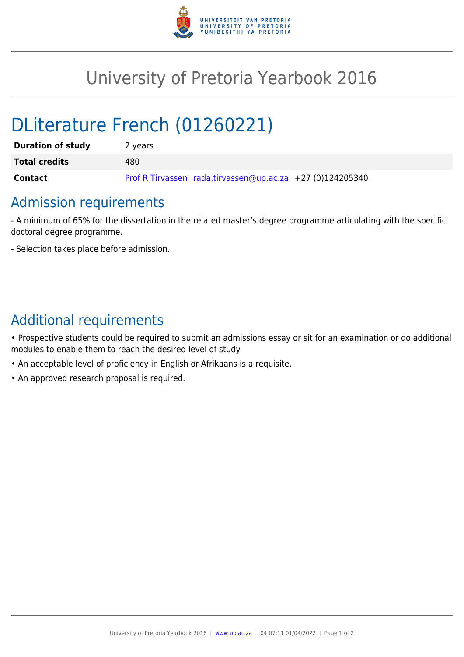

## University of Pretoria Yearbook 2016

# DLiterature French (01260221)

| <b>Duration of study</b> | 2 years                                                   |
|--------------------------|-----------------------------------------------------------|
| <b>Total credits</b>     | 480                                                       |
| <b>Contact</b>           | Prof R Tirvassen rada.tirvassen@up.ac.za +27 (0)124205340 |

### Admission requirements

- A minimum of 65% for the dissertation in the related master's degree programme articulating with the specific doctoral degree programme.

- Selection takes place before admission.

### Additional requirements

• Prospective students could be required to submit an admissions essay or sit for an examination or do additional modules to enable them to reach the desired level of study

- An acceptable level of proficiency in English or Afrikaans is a requisite.
- An approved research proposal is required.